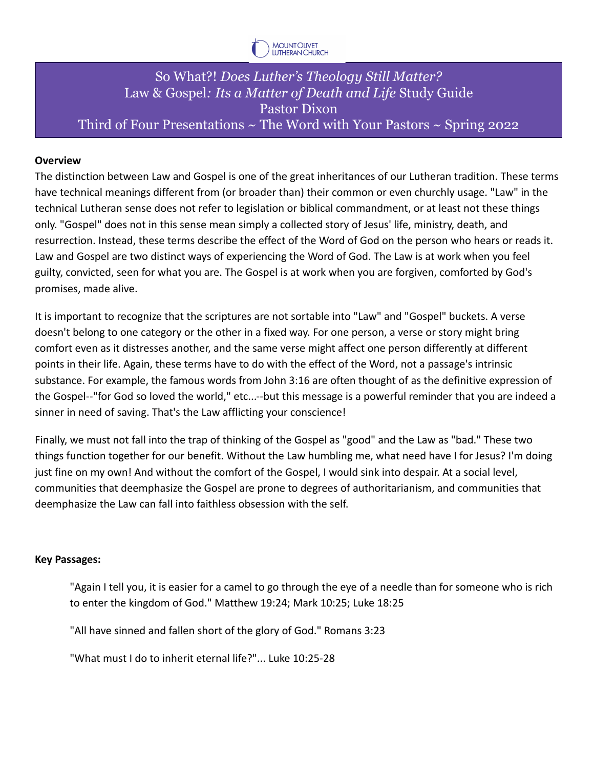

## So What?! *Does Luther's Theology Still Matter?* Law & Gospel*: Its a Matter of Death and Life* Study Guide Pastor Dixon Third of Four Presentations  $\sim$  The Word with Your Pastors  $\sim$  Spring 2022

## **Overview**

The distinction between Law and Gospel is one of the great inheritances of our Lutheran tradition. These terms have technical meanings different from (or broader than) their common or even churchly usage. "Law" in the technical Lutheran sense does not refer to legislation or biblical commandment, or at least not these things only. "Gospel" does not in this sense mean simply a collected story of Jesus' life, ministry, death, and resurrection. Instead, these terms describe the effect of the Word of God on the person who hears or reads it. Law and Gospel are two distinct ways of experiencing the Word of God. The Law is at work when you feel guilty, convicted, seen for what you are. The Gospel is at work when you are forgiven, comforted by God's promises, made alive.

It is important to recognize that the scriptures are not sortable into "Law" and "Gospel" buckets. A verse doesn't belong to one category or the other in a fixed way. For one person, a verse or story might bring comfort even as it distresses another, and the same verse might affect one person differently at different points in their life. Again, these terms have to do with the effect of the Word, not a passage's intrinsic substance. For example, the famous words from John 3:16 are often thought of as the definitive expression of the Gospel--"for God so loved the world," etc...--but this message is a powerful reminder that you are indeed a sinner in need of saving. That's the Law afflicting your conscience!

Finally, we must not fall into the trap of thinking of the Gospel as "good" and the Law as "bad." These two things function together for our benefit. Without the Law humbling me, what need have I for Jesus? I'm doing just fine on my own! And without the comfort of the Gospel, I would sink into despair. At a social level, communities that deemphasize the Gospel are prone to degrees of authoritarianism, and communities that deemphasize the Law can fall into faithless obsession with the self.

## **Key Passages:**

"Again I tell you, it is easier for a camel to go through the eye of a needle than for someone who is rich to enter the kingdom of God." Matthew 19:24; Mark 10:25; Luke 18:25

"All have sinned and fallen short of the glory of God." Romans 3:23

"What must I do to inherit eternal life?"... Luke 10:25-28